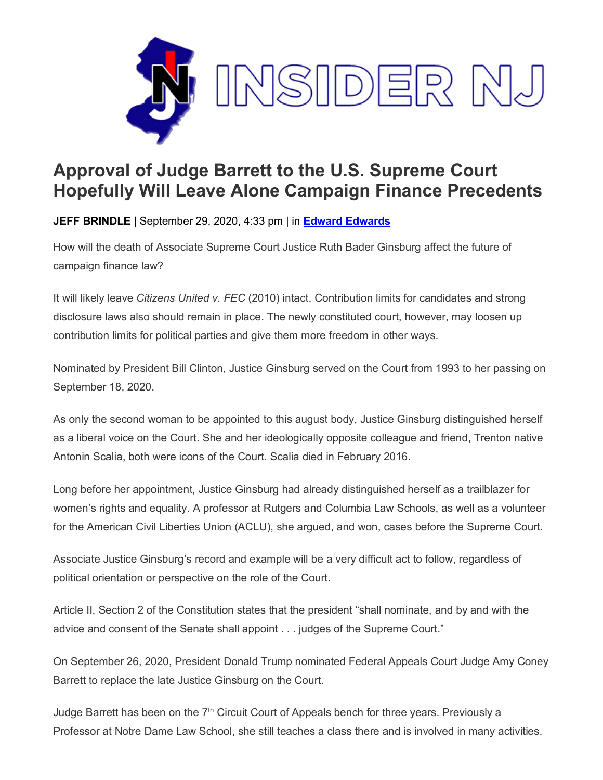

## **Approval of Judge Barrett to the U.S. Supreme Court Hopefully Will Leave Alone Campaign Finance Precedents**

**JEFF BRINDLE** | September 29, 2020, 4:33 pm | in **Edward [Edwards](https://www.insidernj.com/category/edward-edwards/)**

How will the death of Associate Supreme Court Justice Ruth Bader Ginsburg affect the future of campaign finance law?

It will likely leave *Citizens United v. FEC* (2010) intact. Contribution limits for candidates and strong disclosure laws also should remain in place. The newly constituted court, however, may loosen up contribution limits for political parties and give them more freedom in other ways.

Nominated by President Bill Clinton, Justice Ginsburg served on the Court from 1993 to her passing on September 18, 2020.

As only the second woman to be appointed to this august body, Justice Ginsburg distinguished herself as a liberal voice on the Court. She and her ideologically opposite colleague and friend, Trenton native Antonin Scalia, both were icons of the Court. Scalia died in February 2016.

Long before her appointment, Justice Ginsburg had already distinguished herself as a trailblazer for women's rights and equality. A professor at Rutgers and Columbia Law Schools, as well as a volunteer for the American Civil Liberties Union (ACLU), she argued, and won, cases before the Supreme Court.

Associate Justice Ginsburg's record and example will be a very difficult act to follow, regardless of political orientation or perspective on the role of the Court.

Article II, Section 2 of the Constitution states that the president "shall nominate, and by and with the advice and consent of the Senate shall appoint . . . judges of the Supreme Court."

On September 26, 2020, President Donald Trump nominated Federal Appeals Court Judge Amy Coney Barrett to replace the late Justice Ginsburg on the Court.

Judge Barrett has been on the  $7<sup>th</sup>$  Circuit Court of Appeals bench for three years. Previously a Professor at Notre Dame Law School, she still teaches a class there and is involved in many activities.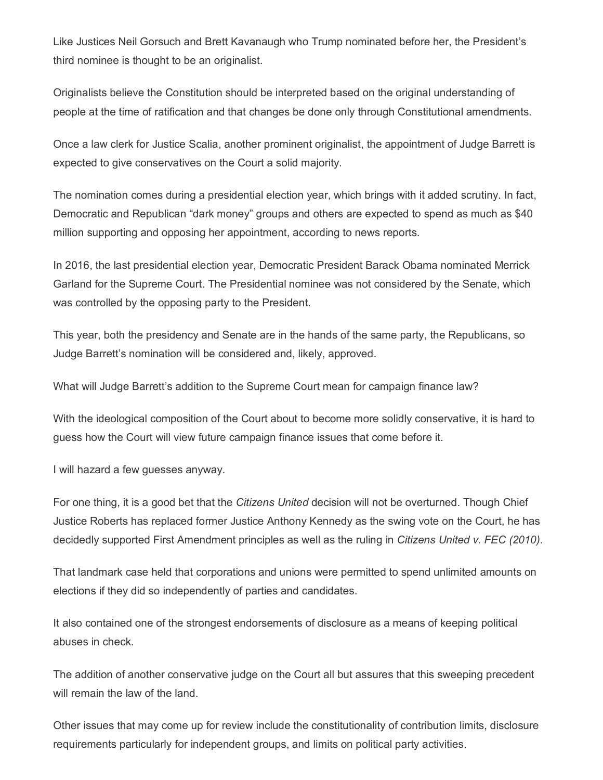Like Justices Neil Gorsuch and Brett Kavanaugh who Trump nominated before her, the President's third nominee is thought to be an originalist.

Originalists believe the Constitution should be interpreted based on the original understanding of people at the time of ratification and that changes be done only through Constitutional amendments.

Once a law clerk for Justice Scalia, another prominent originalist, the appointment of Judge Barrett is expected to give conservatives on the Court a solid majority.

The nomination comes during a presidential election year, which brings with it added scrutiny. In fact, Democratic and Republican "dark money" groups and others are expected to spend as much as \$40 million supporting and opposing her appointment, according to news reports.

In 2016, the last presidential election year, Democratic President Barack Obama nominated Merrick Garland for the Supreme Court. The Presidential nominee was not considered by the Senate, which was controlled by the opposing party to the President.

This year, both the presidency and Senate are in the hands of the same party, the Republicans, so Judge Barrett's nomination will be considered and, likely, approved.

What will Judge Barrett's addition to the Supreme Court mean for campaign finance law?

With the ideological composition of the Court about to become more solidly conservative, it is hard to guess how the Court will view future campaign finance issues that come before it.

I will hazard a few guesses anyway.

For one thing, it is a good bet that the *Citizens United* decision will not be overturned. Though Chief Justice Roberts has replaced former Justice Anthony Kennedy as the swing vote on the Court, he has decidedly supported First Amendment principles as well as the ruling in *Citizens United v. FEC (2010)*.

That landmark case held that corporations and unions were permitted to spend unlimited amounts on elections if they did so independently of parties and candidates.

It also contained one of the strongest endorsements of disclosure as a means of keeping political abuses in check.

The addition of another conservative judge on the Court all but assures that this sweeping precedent will remain the law of the land.

Other issues that may come up for review include the constitutionality of contribution limits, disclosure requirements particularly for independent groups, and limits on political party activities.